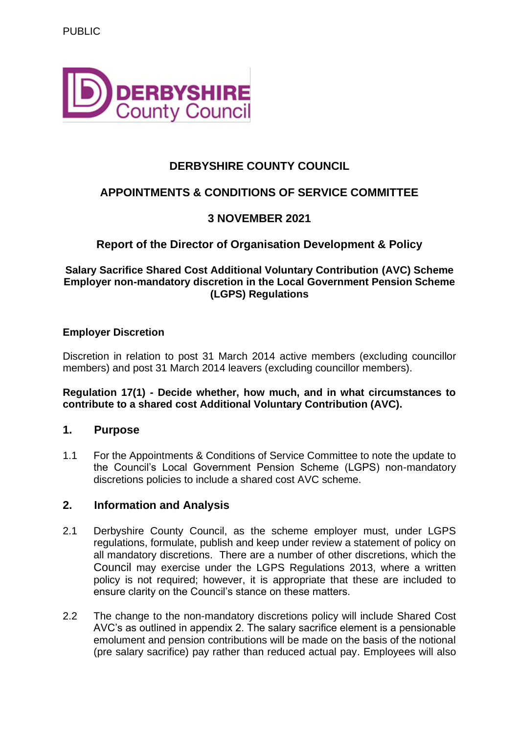

# **DERBYSHIRE COUNTY COUNCIL**

# **APPOINTMENTS & CONDITIONS OF SERVICE COMMITTEE**

# **3 NOVEMBER 2021**

# **Report of the Director of Organisation Development & Policy**

#### **Salary Sacrifice Shared Cost Additional Voluntary Contribution (AVC) Scheme Employer non-mandatory discretion in the Local Government Pension Scheme (LGPS) Regulations**

#### **Employer Discretion**

Discretion in relation to post 31 March 2014 active members (excluding councillor members) and post 31 March 2014 leavers (excluding councillor members).

#### **Regulation 17(1) - Decide whether, how much, and in what circumstances to contribute to a shared cost Additional Voluntary Contribution (AVC).**

#### **1. Purpose**

1.1 For the Appointments & Conditions of Service Committee to note the update to the Council's Local Government Pension Scheme (LGPS) non-mandatory discretions policies to include a shared cost AVC scheme.

#### **2. Information and Analysis**

- 2.1 Derbyshire County Council, as the scheme employer must, under LGPS regulations, formulate, publish and keep under review a statement of policy on all mandatory discretions. There are a number of other discretions, which the Council may exercise under the LGPS Regulations 2013, where a written policy is not required; however, it is appropriate that these are included to ensure clarity on the Council's stance on these matters.
- 2.2 The change to the non-mandatory discretions policy will include Shared Cost AVC's as outlined in appendix 2. The salary sacrifice element is a pensionable emolument and pension contributions will be made on the basis of the notional (pre salary sacrifice) pay rather than reduced actual pay. Employees will also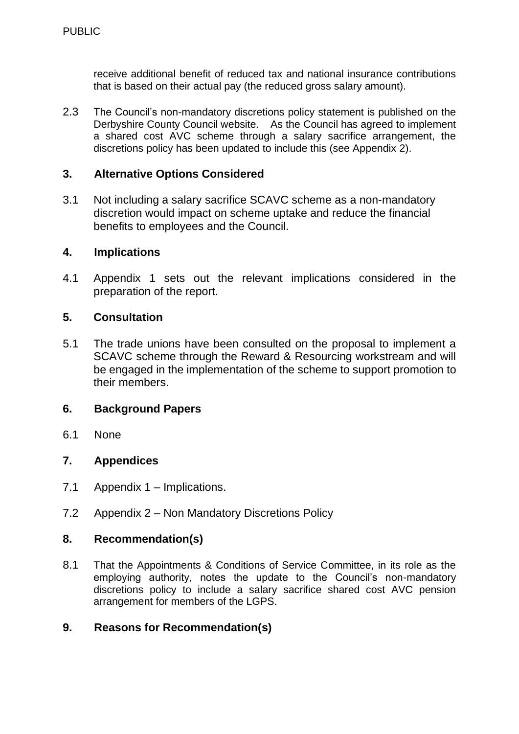receive additional benefit of reduced tax and national insurance contributions that is based on their actual pay (the reduced gross salary amount).

2.3 The Council's non-mandatory discretions policy statement is published on the Derbyshire County Council website. As the Council has agreed to implement a shared cost AVC scheme through a salary sacrifice arrangement, the discretions policy has been updated to include this (see Appendix 2).

## **3. Alternative Options Considered**

3.1 Not including a salary sacrifice SCAVC scheme as a non-mandatory discretion would impact on scheme uptake and reduce the financial benefits to employees and the Council.

#### **4. Implications**

4.1 Appendix 1 sets out the relevant implications considered in the preparation of the report.

#### **5. Consultation**

5.1 The trade unions have been consulted on the proposal to implement a SCAVC scheme through the Reward & Resourcing workstream and will be engaged in the implementation of the scheme to support promotion to their members.

#### **6. Background Papers**

6.1 None

#### **7. Appendices**

- 7.1 Appendix 1 Implications.
- 7.2 Appendix 2 Non Mandatory Discretions Policy

## **8. Recommendation(s)**

8.1 That the Appointments & Conditions of Service Committee, in its role as the employing authority, notes the update to the Council's non-mandatory discretions policy to include a salary sacrifice shared cost AVC pension arrangement for members of the LGPS.

#### **9. Reasons for Recommendation(s)**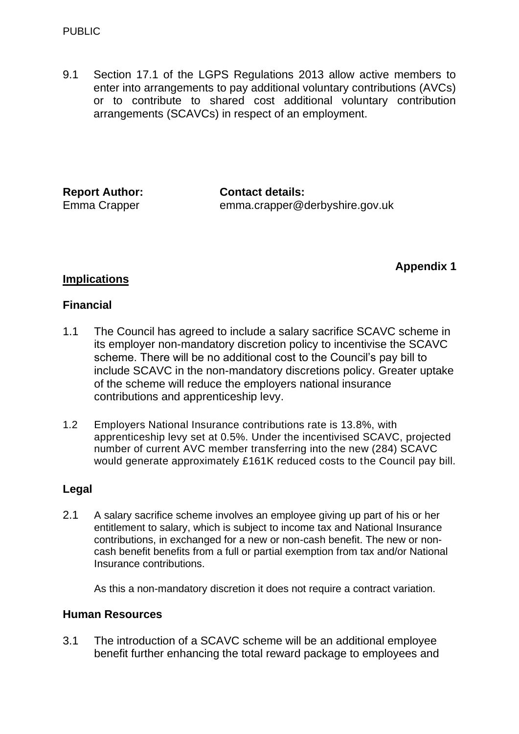9.1 Section 17.1 of the LGPS Regulations 2013 allow active members to enter into arrangements to pay additional voluntary contributions (AVCs) or to contribute to shared cost additional voluntary contribution arrangements (SCAVCs) in respect of an employment.

| <b>Report Author:</b> | <b>Contact details:</b>        |
|-----------------------|--------------------------------|
| Emma Crapper          | emma.crapper@derbyshire.gov.uk |

## **Appendix 1**

## **Implications**

#### **Financial**

- 1.1 The Council has agreed to include a salary sacrifice SCAVC scheme in its employer non-mandatory discretion policy to incentivise the SCAVC scheme. There will be no additional cost to the Council's pay bill to include SCAVC in the non-mandatory discretions policy. Greater uptake of the scheme will reduce the employers national insurance contributions and apprenticeship levy.
- 1.2 Employers National Insurance contributions rate is 13.8%, with apprenticeship levy set at 0.5%. Under the incentivised SCAVC, projected number of current AVC member transferring into the new (284) SCAVC would generate approximately £161K reduced costs to the Council pay bill.

#### **Legal**

2.1 A salary sacrifice scheme involves an employee giving up part of his or her entitlement to salary, which is subject to income tax and National Insurance contributions, in exchanged for a new or non-cash benefit. The new or noncash benefit benefits from a full or partial exemption from tax and/or National Insurance contributions.

As this a non-mandatory discretion it does not require a contract variation.

#### **Human Resources**

3.1 The introduction of a SCAVC scheme will be an additional employee benefit further enhancing the total reward package to employees and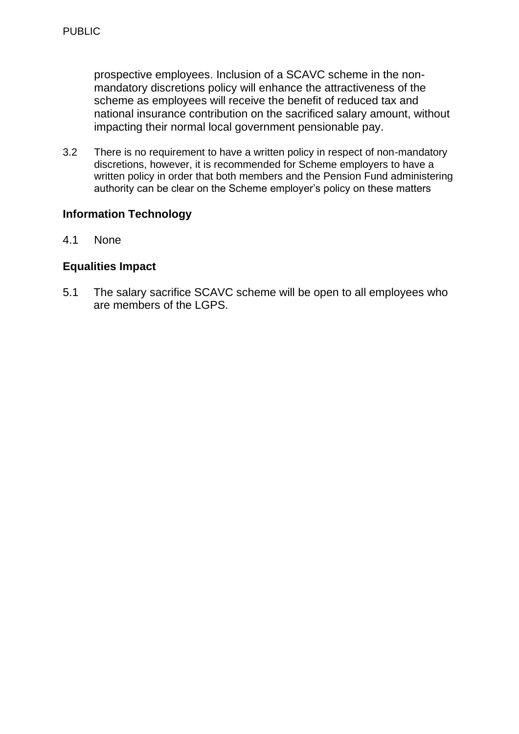prospective employees. Inclusion of a SCAVC scheme in the nonmandatory discretions policy will enhance the attractiveness of the scheme as employees will receive the benefit of reduced tax and national insurance contribution on the sacrificed salary amount, without impacting their normal local government pensionable pay.

3.2 There is no requirement to have a written policy in respect of non-mandatory discretions, however, it is recommended for Scheme employers to have a written policy in order that both members and the Pension Fund administering authority can be clear on the Scheme employer's policy on these matters

# **Information Technology**

4.1 None

## **Equalities Impact**

5.1 The salary sacrifice SCAVC scheme will be open to all employees who are members of the LGPS.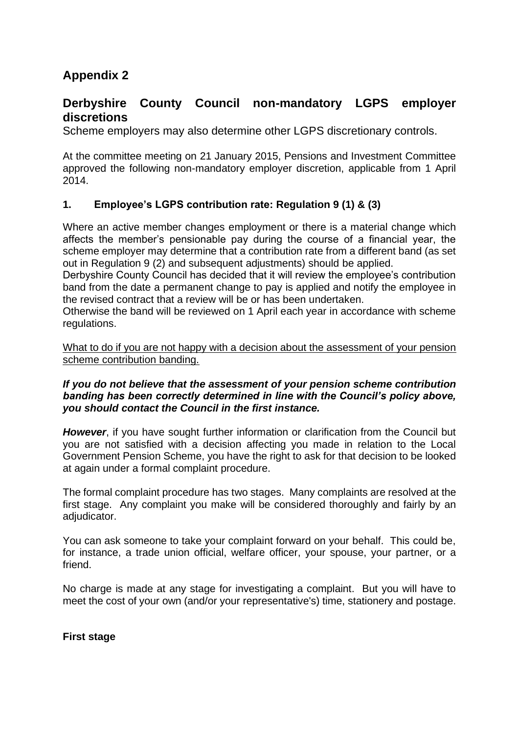# **Appendix 2**

# **Derbyshire County Council non-mandatory LGPS employer discretions**

Scheme employers may also determine other LGPS discretionary controls.

At the committee meeting on 21 January 2015, Pensions and Investment Committee approved the following non-mandatory employer discretion, applicable from 1 April 2014.

#### **1. Employee's LGPS contribution rate: Regulation 9 (1) & (3)**

Where an active member changes employment or there is a material change which affects the member's pensionable pay during the course of a financial year, the scheme employer may determine that a contribution rate from a different band (as set out in Regulation 9 (2) and subsequent adjustments) should be applied.

Derbyshire County Council has decided that it will review the employee's contribution band from the date a permanent change to pay is applied and notify the employee in the revised contract that a review will be or has been undertaken.

Otherwise the band will be reviewed on 1 April each year in accordance with scheme regulations.

What to do if you are not happy with a decision about the assessment of your pension scheme contribution banding.

#### *If you do not believe that the assessment of your pension scheme contribution banding has been correctly determined in line with the Council's policy above, you should contact the Council in the first instance.*

*However*, if you have sought further information or clarification from the Council but you are not satisfied with a decision affecting you made in relation to the Local Government Pension Scheme, you have the right to ask for that decision to be looked at again under a formal complaint procedure.

The formal complaint procedure has two stages. Many complaints are resolved at the first stage. Any complaint you make will be considered thoroughly and fairly by an adjudicator.

You can ask someone to take your complaint forward on your behalf. This could be, for instance, a trade union official, welfare officer, your spouse, your partner, or a friend.

No charge is made at any stage for investigating a complaint. But you will have to meet the cost of your own (and/or your representative's) time, stationery and postage.

**First stage**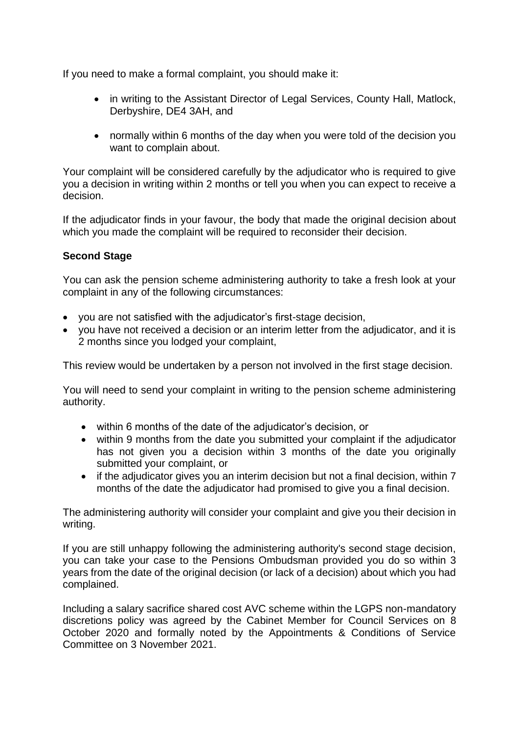If you need to make a formal complaint, you should make it:

- in writing to the Assistant Director of Legal Services, County Hall, Matlock, Derbyshire, DE4 3AH, and
- normally within 6 months of the day when you were told of the decision you want to complain about.

Your complaint will be considered carefully by the adjudicator who is required to give you a decision in writing within 2 months or tell you when you can expect to receive a decision.

If the adjudicator finds in your favour, the body that made the original decision about which you made the complaint will be required to reconsider their decision.

## **Second Stage**

You can ask the pension scheme administering authority to take a fresh look at your complaint in any of the following circumstances:

- you are not satisfied with the adjudicator's first-stage decision,
- you have not received a decision or an interim letter from the adjudicator, and it is 2 months since you lodged your complaint,

This review would be undertaken by a person not involved in the first stage decision.

You will need to send your complaint in writing to the pension scheme administering authority.

- within 6 months of the date of the adjudicator's decision, or
- within 9 months from the date you submitted your complaint if the adjudicator has not given you a decision within 3 months of the date you originally submitted your complaint, or
- if the adjudicator gives you an interim decision but not a final decision, within 7 months of the date the adjudicator had promised to give you a final decision.

The administering authority will consider your complaint and give you their decision in writing.

If you are still unhappy following the administering authority's second stage decision, you can take your case to the Pensions Ombudsman provided you do so within 3 years from the date of the original decision (or lack of a decision) about which you had complained.

Including a salary sacrifice shared cost AVC scheme within the LGPS non-mandatory discretions policy was agreed by the Cabinet Member for Council Services on 8 October 2020 and formally noted by the Appointments & Conditions of Service Committee on 3 November 2021.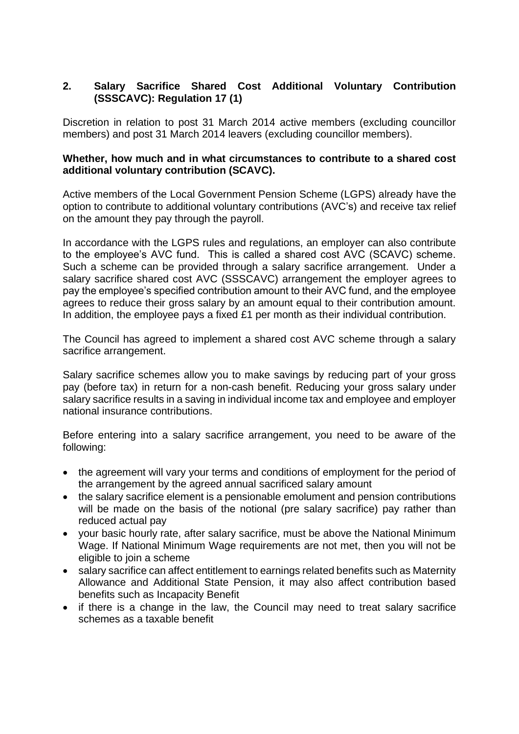### **2. Salary Sacrifice Shared Cost Additional Voluntary Contribution (SSSCAVC): Regulation 17 (1)**

Discretion in relation to post 31 March 2014 active members (excluding councillor members) and post 31 March 2014 leavers (excluding councillor members).

#### **Whether, how much and in what circumstances to contribute to a shared cost additional voluntary contribution (SCAVC).**

Active members of the Local Government Pension Scheme (LGPS) already have the option to contribute to additional voluntary contributions (AVC's) and receive tax relief on the amount they pay through the payroll.

In accordance with the LGPS rules and regulations, an employer can also contribute to the employee's AVC fund. This is called a shared cost AVC (SCAVC) scheme. Such a scheme can be provided through a salary sacrifice arrangement. Under a salary sacrifice shared cost AVC (SSSCAVC) arrangement the employer agrees to pay the employee's specified contribution amount to their AVC fund, and the employee agrees to reduce their gross salary by an amount equal to their contribution amount. In addition, the employee pays a fixed £1 per month as their individual contribution.

The Council has agreed to implement a shared cost AVC scheme through a salary sacrifice arrangement.

Salary sacrifice schemes allow you to make savings by reducing part of your gross pay (before tax) in return for a non-cash benefit. Reducing your gross salary under salary sacrifice results in a saving in individual income tax and employee and employer national insurance contributions.

Before entering into a salary sacrifice arrangement, you need to be aware of the following:

- the agreement will vary your terms and conditions of employment for the period of the arrangement by the agreed annual sacrificed salary amount
- the salary sacrifice element is a pensionable emolument and pension contributions will be made on the basis of the notional (pre salary sacrifice) pay rather than reduced actual pay
- your basic hourly rate, after salary sacrifice, must be above the National Minimum Wage. If National Minimum Wage requirements are not met, then you will not be eligible to join a scheme
- salary sacrifice can affect entitlement to earnings related benefits such as Maternity Allowance and Additional State Pension, it may also affect contribution based benefits such as Incapacity Benefit
- if there is a change in the law, the Council may need to treat salary sacrifice schemes as a taxable benefit